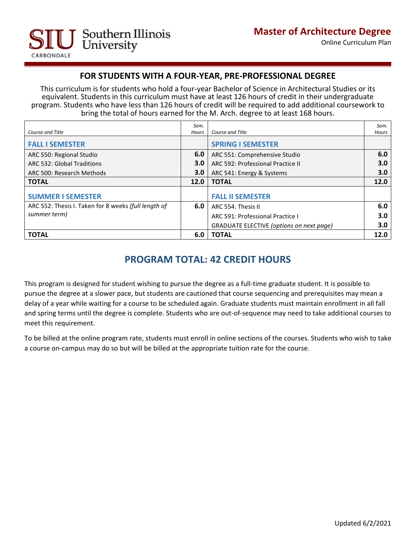

## **FOR STUDENTS WITH A FOUR-YEAR, PRE-PROFESSIONAL DEGREE**

This curriculum is for students who hold a four-year Bachelor of Science in Architectural Studies or its equivalent. Students in this curriculum must have at least 126 hours of credit in their undergraduate program. Students who have less than 126 hours of credit will be required to add additional coursework to bring the total of hours earned for the M. Arch. degree to at least 168 hours.

| <b>Course and Title</b>                              | Sem.<br>Hours | Course and Title                         | Sem.<br>Hours |
|------------------------------------------------------|---------------|------------------------------------------|---------------|
| <b>FALL I SEMESTER</b>                               |               | <b>SPRING I SEMESTER</b>                 |               |
| ARC 550: Regional Studio                             | 6.0           | ARC 551: Comprehensive Studio            | 6.0           |
| ARC 532: Global Traditions                           | 3.0           | ARC 592: Professional Practice II        | 3.0           |
| ARC 500: Research Methods                            | 3.0           | ARC 541: Energy & Systems                | 3.0           |
| <b>TOTAL</b>                                         | 12.0          | <b>TOTAL</b>                             | 12.0          |
| <b>SUMMER I SEMESTER</b>                             |               | <b>FALL II SEMESTER</b>                  |               |
| ARC 552: Thesis I. Taken for 8 weeks (full length of | 6.0           | ARC 554: Thesis II                       | 6.0           |
| summer term)                                         |               | ARC 591: Professional Practice I         | 3.0           |
|                                                      |               | GRADUATE ELECTIVE (options on next page) | 3.0           |
| <b>TOTAL</b>                                         | 6.0           | <b>TOTAL</b>                             | 12.0          |

## **PROGRAM TOTAL: 42 CREDIT HOURS**

This program is designed for student wishing to pursue the degree as a full-time graduate student. It is possible to pursue the degree at a slower pace, but students are cautioned that course sequencing and prerequisites may mean a delay of a year while waiting for a course to be scheduled again. Graduate students must maintain enrollment in all fall and spring terms until the degree is complete. Students who are out-of-sequence may need to take additional courses to meet this requirement.

To be billed at the online program rate, students must enroll in online sections of the courses. Students who wish to take a course on-campus may do so but will be billed at the appropriate tuition rate for the course.